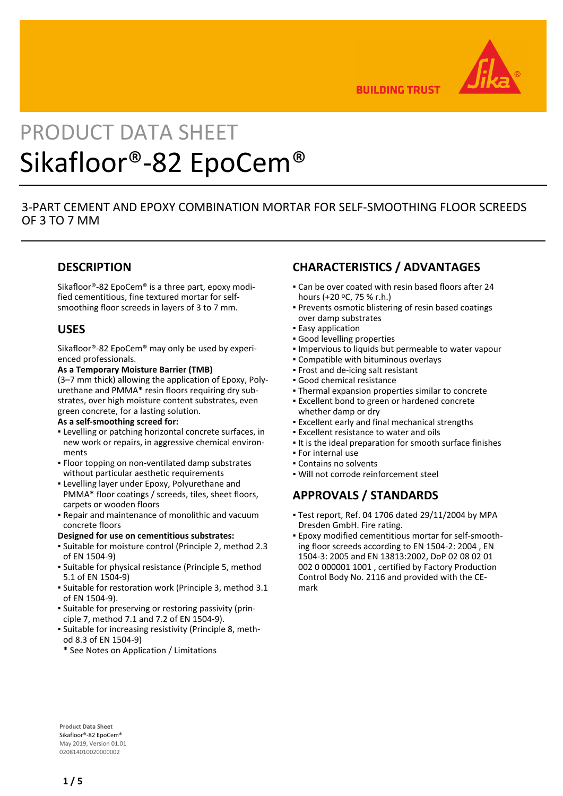

**BUILDING TRUST** 

# PRODUCT DATA SHEET Sikafloor®-82 EpoCem®

## 3-PART CEMENT AND EPOXY COMBINATION MORTAR FOR SELF-SMOOTHING FLOOR SCREEDS OF 3 TO 7 MM

## **DESCRIPTION**

Sikafloor®-82 EpoCem® is a three part, epoxy modified cementitious, fine textured mortar for selfsmoothing floor screeds in layers of 3 to 7 mm.

## **USES**

Sikafloor®-82 EpoCem® may only be used by experienced professionals.

**As a Temporary Moisture Barrier (TMB)**

(3–7 mm thick) allowing the application of Epoxy, Polyurethane and PMMA\* resin floors requiring dry substrates, over high moisture content substrates, even green concrete, for a lasting solution.

#### **As a self-smoothing screed for:**

- Levelling or patching horizontal concrete surfaces, in new work or repairs, in aggressive chemical environments
- **Floor topping on non-ventilated damp substrates** without particular aesthetic requirements
- **ELevelling layer under Epoxy, Polyurethane and** PMMA\* floor coatings / screeds, tiles, sheet floors, carpets or wooden floors
- Repair and maintenance of monolithic and vacuum concrete floors

#### **Designed for use on cementitious substrates:**

- Suitable for moisture control (Principle 2, method 2.3 of EN 1504-9)
- **·** Suitable for physical resistance (Principle 5, method 5.1 of EN 1504-9)
- Suitable for restoration work (Principle 3, method 3.1 of EN 1504-9).
- Suitable for preserving or restoring passivity (prin-▪ ciple 7, method 7.1 and 7.2 of EN 1504-9).
- **-** Suitable for increasing resistivity (Principle 8, method 8.3 of EN 1504-9)
- \* See Notes on Application / Limitations

## **CHARACTERISTICS / ADVANTAGES**

- Can be over coated with resin based floors after 24 hours (+20 oC, 75 % r.h.)
- Prevents osmotic blistering of resin based coatings over damp substrates
- **Easy application**
- Good levelling properties
- Impervious to liquids but permeable to water vapour
- Compatible with bituminous overlays
- Frost and de-icing salt resistant
- Good chemical resistance
- **Thermal expansion properties similar to concrete**
- **Excellent bond to green or hardened concrete** whether damp or dry
- **Excellent early and final mechanical strengths**
- **Excellent resistance to water and oils**
- It is the ideal preparation for smooth surface finishes
- For internal use
- Contains no solvents
- Will not corrode reinforcement steel

## **APPROVALS / STANDARDS**

- Test report, Ref. 04 1706 dated 29/11/2004 by MPA Dresden GmbH. Fire rating.
- Epoxy modified cementitious mortar for self-smooth-▪ ing floor screeds according to EN 1504-2: 2004 , EN 1504-3: 2005 and EN 13813:2002, DoP 02 08 02 01 002 0 000001 1001 , certified by Factory Production Control Body No. 2116 and provided with the CEmark

**Product Data Sheet** Sikafloor®-82 EpoCem® May 2019, Version 01.01 020814010020000002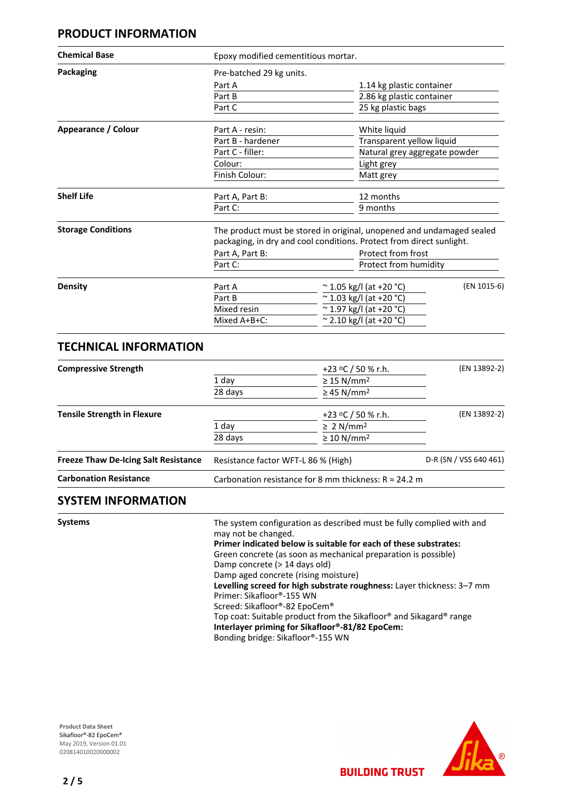## **PRODUCT INFORMATION**

| <b>Chemical Base</b>      | Epoxy modified cementitious mortar.                                                                                                           |                               |                           |  |
|---------------------------|-----------------------------------------------------------------------------------------------------------------------------------------------|-------------------------------|---------------------------|--|
| <b>Packaging</b>          | Pre-batched 29 kg units.                                                                                                                      |                               |                           |  |
|                           | Part A                                                                                                                                        | 1.14 kg plastic container     |                           |  |
|                           | Part B                                                                                                                                        | 2.86 kg plastic container     |                           |  |
|                           | Part C                                                                                                                                        | 25 kg plastic bags            |                           |  |
| Appearance / Colour       | Part A - resin:                                                                                                                               | White liquid                  |                           |  |
|                           | Part B - hardener                                                                                                                             |                               | Transparent yellow liquid |  |
|                           | Part C - filler:                                                                                                                              | Natural grey aggregate powder |                           |  |
|                           | Colour:                                                                                                                                       | Light grey                    |                           |  |
|                           | Finish Colour:                                                                                                                                | Matt grey                     |                           |  |
| <b>Shelf Life</b>         | Part A, Part B:                                                                                                                               | 12 months                     |                           |  |
|                           | Part C:                                                                                                                                       | 9 months                      |                           |  |
| <b>Storage Conditions</b> | The product must be stored in original, unopened and undamaged sealed<br>packaging, in dry and cool conditions. Protect from direct sunlight. |                               |                           |  |
|                           | Part A, Part B:                                                                                                                               | Protect from frost            |                           |  |
|                           | Part C:                                                                                                                                       |                               | Protect from humidity     |  |
| Density                   | Part A                                                                                                                                        | $\sim$ 1.05 kg/l (at +20 °C)  | (EN 1015-6)               |  |
|                           | Part B                                                                                                                                        | $\sim$ 1.03 kg/l (at +20 °C)  |                           |  |
|                           | Mixed resin                                                                                                                                   | $\sim$ 1.97 kg/l (at +20 °C)  |                           |  |
|                           | Mixed A+B+C:                                                                                                                                  | $\sim$ 2.10 kg/l (at +20 °C)  |                           |  |

## **TECHNICAL INFORMATION**

| <b>Compressive Strength</b>                 |                                                               | +23 °C / 50 % r.h.          | (EN 13892-2)           |
|---------------------------------------------|---------------------------------------------------------------|-----------------------------|------------------------|
|                                             | 1 day<br>28 days                                              | $\geq$ 15 N/mm <sup>2</sup> |                        |
|                                             |                                                               | $\geq$ 45 N/mm <sup>2</sup> |                        |
| <b>Tensile Strength in Flexure</b>          |                                                               | +23 °C / 50 % r.h.          | (EN 13892-2)           |
|                                             | 1 day                                                         | $\geq 2$ N/mm <sup>2</sup>  |                        |
|                                             | 28 days                                                       | $\geq 10$ N/mm <sup>2</sup> |                        |
| <b>Freeze Thaw De-Icing Salt Resistance</b> | Resistance factor WFT-L 86 % (High)                           |                             | D-R (SN / VSS 640 461) |
| <b>Carbonation Resistance</b>               | Carbonation resistance for 8 mm thickness: $R \approx 24.2$ m |                             |                        |

## **SYSTEM INFORMATION**

| /stems<br>v |
|-------------|
|-------------|

The system configuration as described must be fully complied with and may not be changed. **Primer indicated below is suitable for each of these substrates:** Green concrete (as soon as mechanical preparation is possible) Damp concrete (> 14 days old) Damp aged concrete (rising moisture) **Levelling screed for high substrate roughness:** Layer thickness: 3–7 mm Primer: Sikafloor®-155 WN Screed: Sikafloor®-82 EpoCem® Top coat: Suitable product from the Sikafloor® and Sikagard® range **Interlayer priming for Sikafloor®-81/82 EpoCem:** Bonding bridge: Sikafloor®-155 WN

**BUILDING TRUST** 

**Product Data Sheet** Sikafloor®-82 EpoCem® May 2019, Version 01.01 020814010020000002

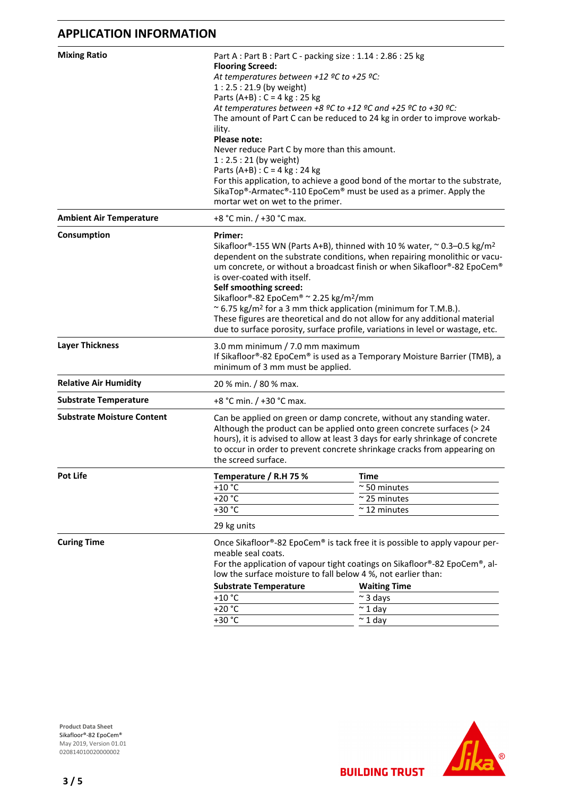## **APPLICATION INFORMATION**

| <b>Mixing Ratio</b>               | Part A : Part B : Part C - packing size : 1.14 : 2.86 : 25 kg<br><b>Flooring Screed:</b><br>At temperatures between +12 °C to +25 °C:<br>$1:2.5:21.9$ (by weight)<br>Parts (A+B) : $C = 4$ kg : 25 kg<br>At temperatures between +8 °C to +12 °C and +25 °C to +30 °C:<br>The amount of Part C can be reduced to 24 kg in order to improve workab-<br>ility.<br>Please note:<br>Never reduce Part C by more than this amount.<br>$1:2.5:21$ (by weight)<br>Parts (A+B) : $C = 4$ kg : 24 kg<br>For this application, to achieve a good bond of the mortar to the substrate,<br>SikaTop®-Armatec®-110 EpoCem® must be used as a primer. Apply the |                      |  |
|-----------------------------------|--------------------------------------------------------------------------------------------------------------------------------------------------------------------------------------------------------------------------------------------------------------------------------------------------------------------------------------------------------------------------------------------------------------------------------------------------------------------------------------------------------------------------------------------------------------------------------------------------------------------------------------------------|----------------------|--|
| <b>Ambient Air Temperature</b>    | mortar wet on wet to the primer.<br>+8 °C min. / +30 °C max.                                                                                                                                                                                                                                                                                                                                                                                                                                                                                                                                                                                     |                      |  |
|                                   |                                                                                                                                                                                                                                                                                                                                                                                                                                                                                                                                                                                                                                                  |                      |  |
| Consumption                       | Primer:<br>Sikafloor®-155 WN (Parts A+B), thinned with 10 % water, $\sim$ 0.3–0.5 kg/m <sup>2</sup><br>dependent on the substrate conditions, when repairing monolithic or vacu-<br>um concrete, or without a broadcast finish or when Sikafloor®-82 EpoCem®<br>is over-coated with itself.<br>Self smoothing screed:<br>Sikafloor®-82 EpoCem® ~ 2.25 kg/m <sup>2</sup> /mm<br>~ 6.75 kg/m <sup>2</sup> for a 3 mm thick application (minimum for T.M.B.).<br>These figures are theoretical and do not allow for any additional material<br>due to surface porosity, surface profile, variations in level or wastage, etc.                       |                      |  |
| <b>Layer Thickness</b>            | 3.0 mm minimum / 7.0 mm maximum<br>If Sikafloor®-82 EpoCem® is used as a Temporary Moisture Barrier (TMB), a<br>minimum of 3 mm must be applied.                                                                                                                                                                                                                                                                                                                                                                                                                                                                                                 |                      |  |
| <b>Relative Air Humidity</b>      | 20 % min. / 80 % max.                                                                                                                                                                                                                                                                                                                                                                                                                                                                                                                                                                                                                            |                      |  |
| <b>Substrate Temperature</b>      | +8 °C min. / +30 °C max.                                                                                                                                                                                                                                                                                                                                                                                                                                                                                                                                                                                                                         |                      |  |
| <b>Substrate Moisture Content</b> | Can be applied on green or damp concrete, without any standing water.<br>Although the product can be applied onto green concrete surfaces (> 24<br>hours), it is advised to allow at least 3 days for early shrinkage of concrete<br>to occur in order to prevent concrete shrinkage cracks from appearing on<br>the screed surface.                                                                                                                                                                                                                                                                                                             |                      |  |
| Pot Life                          | Temperature / R.H 75 %                                                                                                                                                                                                                                                                                                                                                                                                                                                                                                                                                                                                                           | Time                 |  |
|                                   | $+10 °C$                                                                                                                                                                                                                                                                                                                                                                                                                                                                                                                                                                                                                                         | $\sim$ 50 minutes    |  |
|                                   | $+20 °C$                                                                                                                                                                                                                                                                                                                                                                                                                                                                                                                                                                                                                                         | $\approx$ 25 minutes |  |
|                                   | $+30 °C$                                                                                                                                                                                                                                                                                                                                                                                                                                                                                                                                                                                                                                         | $~\sim$ 12 minutes   |  |
|                                   | 29 kg units                                                                                                                                                                                                                                                                                                                                                                                                                                                                                                                                                                                                                                      |                      |  |
| <b>Curing Time</b>                | Once Sikafloor®-82 EpoCem® is tack free it is possible to apply vapour per-<br>meable seal coats.<br>For the application of vapour tight coatings on Sikafloor®-82 EpoCem®, al-<br>low the surface moisture to fall below 4 %, not earlier than:<br><b>Substrate Temperature</b><br><b>Waiting Time</b><br>$+10$ °C<br>$\sim$ 3 days                                                                                                                                                                                                                                                                                                             |                      |  |
|                                   | $+20 °C$                                                                                                                                                                                                                                                                                                                                                                                                                                                                                                                                                                                                                                         | $\sim$ 1 day         |  |
|                                   | +30 °C                                                                                                                                                                                                                                                                                                                                                                                                                                                                                                                                                                                                                                           | $\sim$ 1 day         |  |
|                                   |                                                                                                                                                                                                                                                                                                                                                                                                                                                                                                                                                                                                                                                  |                      |  |

**Product Data Sheet** Sikafloor®-82 EpoCem® May 2019, Version 01.01 020814010020000002



**BUILDING TRUST**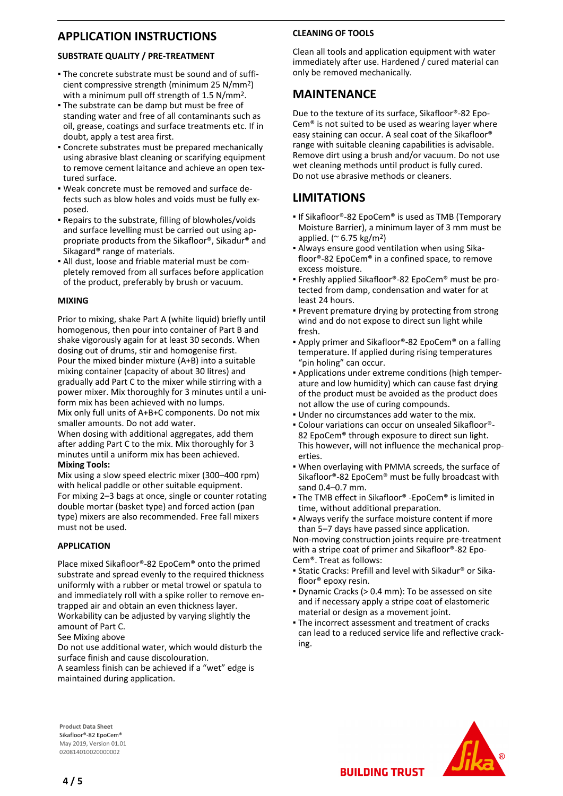## **APPLICATION INSTRUCTIONS**

#### **SUBSTRATE QUALITY / PRE-TREATMENT**

- The concrete substrate must be sound and of suffi-▪ cient compressive strength (minimum 25 N/mm2) with a minimum pull off strength of 1.5 N/mm2.
- **The substrate can be damp but must be free of** standing water and free of all contaminants such as oil, grease, coatings and surface treatments etc. If in doubt, apply a test area first.
- Concrete substrates must be prepared mechanically using abrasive blast cleaning or scarifying equipment to remove cement laitance and achieve an open textured surface.
- Weak concrete must be removed and surface de-▪ fects such as blow holes and voids must be fully exposed.
- Repairs to the substrate, filling of blowholes/voids and surface levelling must be carried out using appropriate products from the Sikafloor®, Sikadur® and Sikagard® range of materials.
- All dust, loose and friable material must be com-▪ pletely removed from all surfaces before application of the product, preferably by brush or vacuum.

#### **MIXING**

Prior to mixing, shake Part A (white liquid) briefly until homogenous, then pour into container of Part B and shake vigorously again for at least 30 seconds. When dosing out of drums, stir and homogenise first. Pour the mixed binder mixture (A+B) into a suitable mixing container (capacity of about 30 litres) and gradually add Part C to the mixer while stirring with a power mixer. Mix thoroughly for 3 minutes until a uniform mix has been achieved with no lumps. Mix only full units of A+B+C components. Do not mix smaller amounts. Do not add water.

When dosing with additional aggregates, add them after adding Part C to the mix. Mix thoroughly for 3 minutes until a uniform mix has been achieved. **Mixing Tools:**

Mix using a slow speed electric mixer (300–400 rpm) with helical paddle or other suitable equipment. For mixing 2–3 bags at once, single or counter rotating double mortar (basket type) and forced action (pan type) mixers are also recommended. Free fall mixers must not be used.

#### **APPLICATION**

Place mixed Sikafloor®-82 EpoCem® onto the primed substrate and spread evenly to the required thickness uniformly with a rubber or metal trowel or spatula to and immediately roll with a spike roller to remove entrapped air and obtain an even thickness layer. Workability can be adjusted by varying slightly the amount of Part C.

See Mixing above

Do not use additional water, which would disturb the surface finish and cause discolouration.

A seamless finish can be achieved if a "wet" edge is maintained during application.

### **CLEANING OF TOOLS**

Clean all tools and application equipment with water immediately after use. Hardened / cured material can only be removed mechanically.

## **MAINTENANCE**

Due to the texture of its surface, Sikafloor®-82 Epo-Cem® is not suited to be used as wearing layer where easy staining can occur. A seal coat of the Sikafloor® range with suitable cleaning capabilities is advisable. Remove dirt using a brush and/or vacuum. Do not use wet cleaning methods until product is fully cured. Do not use abrasive methods or cleaners.

## **LIMITATIONS**

- If Sikafloor®-82 EpoCem® is used as TMB (Temporary Moisture Barrier), a minimum layer of 3 mm must be applied. ( $\approx$  6.75 kg/m<sup>2</sup>)
- Always ensure good ventilation when using Sika-▪ floor®-82 EpoCem® in a confined space, to remove excess moisture.
- Freshly applied Sikafloor®-82 EpoCem® must be protected from damp, condensation and water for at least 24 hours.
- **Prevent premature drying by protecting from strong** wind and do not expose to direct sun light while fresh.
- Apply primer and Sikafloor®-82 EpoCem® on a falling temperature. If applied during rising temperatures "pin holing" can occur.
- Applications under extreme conditions (high temper-▪ ature and low humidity) which can cause fast drying of the product must be avoided as the product does not allow the use of curing compounds.
- Under no circumstances add water to the mix.
- Colour variations can occur on unsealed Sikafloor®- 82 EpoCem® through exposure to direct sun light. This however, will not influence the mechanical properties.
- When overlaying with PMMA screeds, the surface of Sikafloor®-82 EpoCem® must be fully broadcast with sand 0.4–0.7 mm.
- The TMB effect in Sikafloor® -EpoCem® is limited in time, without additional preparation.
- Always verify the surface moisture content if more than 5–7 days have passed since application.

Non-moving construction joints require pre-treatment with a stripe coat of primer and Sikafloor®-82 Epo-Cem®. Treat as follows:

- Static Cracks: Prefill and level with Sikadur® or Sika-▪ floor® epoxy resin.
- **Dynamic Cracks (> 0.4 mm): To be assessed on site** and if necessary apply a stripe coat of elastomeric material or design as a movement joint.
- **The incorrect assessment and treatment of cracks** can lead to a reduced service life and reflective cracking.

**Product Data Sheet** Sikafloor®-82 EpoCem® May 2019, Version 01.01 020814010020000002



**4 / 5**

**BUILDING TRUST**